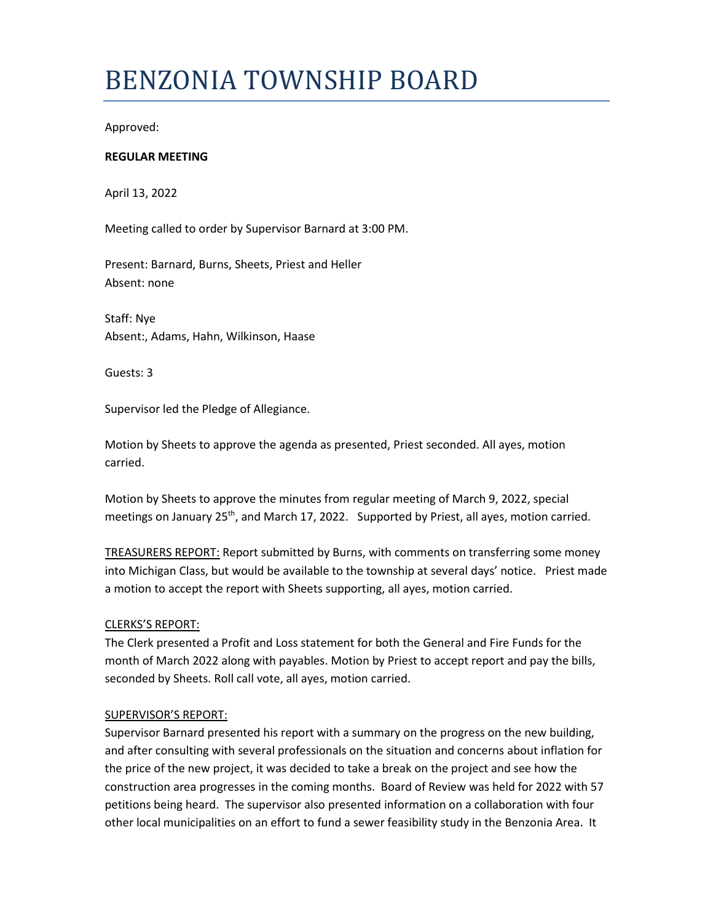# BENZONIA TOWNSHIP BOARD

Approved:

## **REGULAR MEETING**

April 13, 2022

Meeting called to order by Supervisor Barnard at 3:00 PM.

Present: Barnard, Burns, Sheets, Priest and Heller Absent: none

Staff: Nye Absent:, Adams, Hahn, Wilkinson, Haase

Guests: 3

Supervisor led the Pledge of Allegiance.

Motion by Sheets to approve the agenda as presented, Priest seconded. All ayes, motion carried.

Motion by Sheets to approve the minutes from regular meeting of March 9, 2022, special meetings on January  $25<sup>th</sup>$ , and March 17, 2022. Supported by Priest, all ayes, motion carried.

TREASURERS REPORT: Report submitted by Burns, with comments on transferring some money into Michigan Class, but would be available to the township at several days' notice. Priest made a motion to accept the report with Sheets supporting, all ayes, motion carried.

## CLERKS'S REPORT:

The Clerk presented a Profit and Loss statement for both the General and Fire Funds for the month of March 2022 along with payables. Motion by Priest to accept report and pay the bills, seconded by Sheets. Roll call vote, all ayes, motion carried.

## SUPERVISOR'S REPORT:

Supervisor Barnard presented his report with a summary on the progress on the new building, and after consulting with several professionals on the situation and concerns about inflation for the price of the new project, it was decided to take a break on the project and see how the construction area progresses in the coming months. Board of Review was held for 2022 with 57 petitions being heard. The supervisor also presented information on a collaboration with four other local municipalities on an effort to fund a sewer feasibility study in the Benzonia Area. It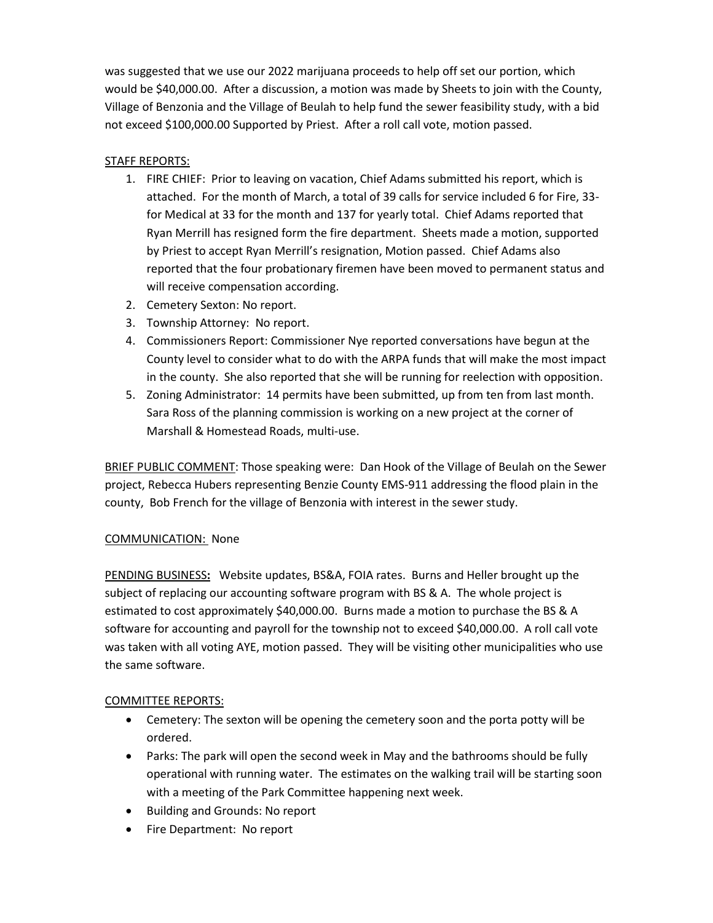was suggested that we use our 2022 marijuana proceeds to help off set our portion, which would be \$40,000.00. After a discussion, a motion was made by Sheets to join with the County, Village of Benzonia and the Village of Beulah to help fund the sewer feasibility study, with a bid not exceed \$100,000.00 Supported by Priest. After a roll call vote, motion passed.

## STAFF REPORTS:

- 1. FIRE CHIEF: Prior to leaving on vacation, Chief Adams submitted his report, which is attached. For the month of March, a total of 39 calls for service included 6 for Fire, 33 for Medical at 33 for the month and 137 for yearly total. Chief Adams reported that Ryan Merrill has resigned form the fire department. Sheets made a motion, supported by Priest to accept Ryan Merrill's resignation, Motion passed. Chief Adams also reported that the four probationary firemen have been moved to permanent status and will receive compensation according.
- 2. Cemetery Sexton: No report.
- 3. Township Attorney: No report.
- 4. Commissioners Report: Commissioner Nye reported conversations have begun at the County level to consider what to do with the ARPA funds that will make the most impact in the county. She also reported that she will be running for reelection with opposition.
- 5. Zoning Administrator: 14 permits have been submitted, up from ten from last month. Sara Ross of the planning commission is working on a new project at the corner of Marshall & Homestead Roads, multi-use.

BRIEF PUBLIC COMMENT: Those speaking were: Dan Hook of the Village of Beulah on the Sewer project, Rebecca Hubers representing Benzie County EMS-911 addressing the flood plain in the county, Bob French for the village of Benzonia with interest in the sewer study.

## COMMUNICATION: None

PENDING BUSINESS**:** Website updates, BS&A, FOIA rates. Burns and Heller brought up the subject of replacing our accounting software program with BS & A. The whole project is estimated to cost approximately \$40,000.00. Burns made a motion to purchase the BS & A software for accounting and payroll for the township not to exceed \$40,000.00. A roll call vote was taken with all voting AYE, motion passed. They will be visiting other municipalities who use the same software.

## COMMITTEE REPORTS:

- Cemetery: The sexton will be opening the cemetery soon and the porta potty will be ordered.
- Parks: The park will open the second week in May and the bathrooms should be fully operational with running water. The estimates on the walking trail will be starting soon with a meeting of the Park Committee happening next week.
- Building and Grounds: No report
- Fire Department: No report